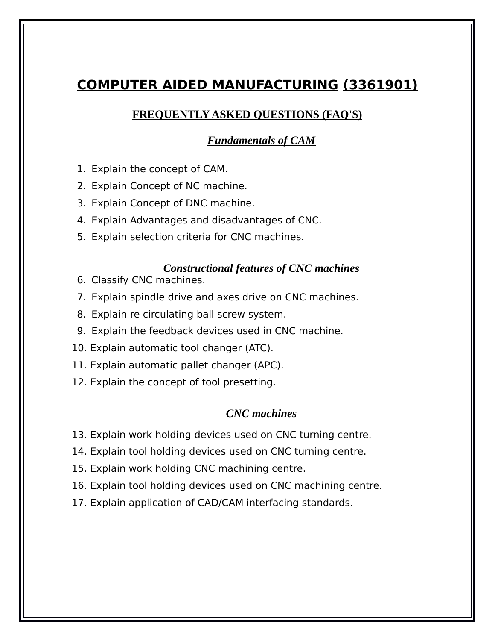# **COMPUTER AIDED MANUFACTURING (3361901)**

# **FREQUENTLY ASKED QUESTIONS (FAQ'S)**

# *Fundamentals of CAM*

- 1. Explain the concept of CAM.
- 2. Explain Concept of NC machine.
- 3. Explain Concept of DNC machine.
- 4. Explain Advantages and disadvantages of CNC.
- 5. Explain selection criteria for CNC machines.

#### *Constructional features of CNC machines*

- 6. Classify CNC machines.
- 7. Explain spindle drive and axes drive on CNC machines.
- 8. Explain re circulating ball screw system.
- 9. Explain the feedback devices used in CNC machine.
- 10. Explain automatic tool changer (ATC).
- 11. Explain automatic pallet changer (APC).
- 12. Explain the concept of tool presetting.

#### *CNC machines*

- 13. Explain work holding devices used on CNC turning centre.
- 14. Explain tool holding devices used on CNC turning centre.
- 15. Explain work holding CNC machining centre.
- 16. Explain tool holding devices used on CNC machining centre.
- 17. Explain application of CAD/CAM interfacing standards.